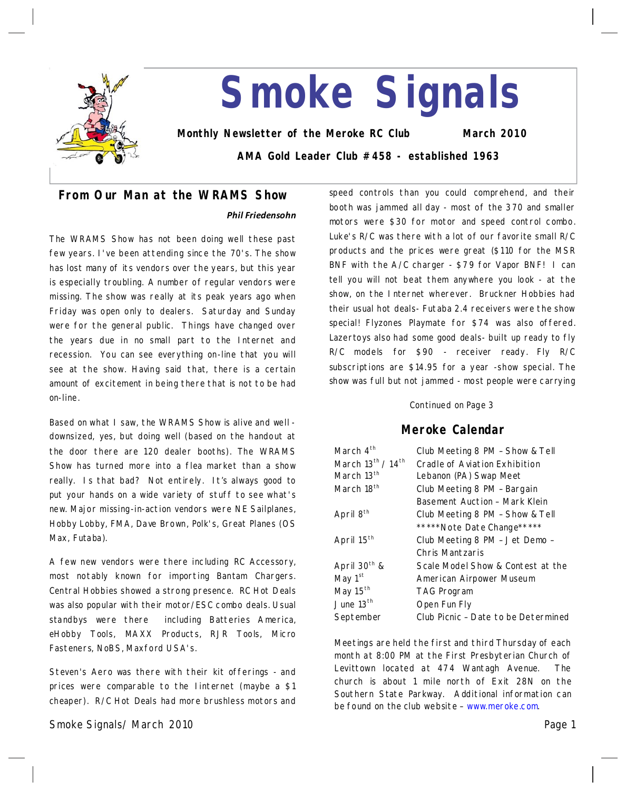

# **Smoke Signals**

**Monthly Newsletter of the Meroke RC Club March 2010**

**AMA Gold Leader Club #458 - established 1963**

# **From Our Man at the WRAMS Show**

## *Phil Friedensohn*

The WRAMS Show has not been doing well these past few years. I've been attending since the 70's. The show has lost many of its vendors over the years, but this year is especially troubling. A number of regular vendors were missing. The show was really at its peak years ago when Friday was open only to dealers. Saturday and Sunday were for the general public. Things have changed over the years due in no small part to the Internet and recession. You can see everything on-line that you will see at the show. Having said that, there is a certain amount of excitement in being there that is not to be had on-line.

Based on what I saw, the WRAMS Show is alive and well downsized, yes, but doing well (based on the handout at the door there are 120 dealer booths). The WRAMS Show has turned more into a flea market than a show really. Is that bad? Not entirely. It's always good to put your hands on a wide variety of stuff to see what's new. Major missing-in-action vendors were NE Sailplanes, Hobby Lobby, FMA, Dave Brown, Polk's, Great Planes (OS Max, Futaba).

A few new vendors were there including RC Accessory, most notably known for importing Bantam Chargers. Central Hobbies showed a strong presence. RC Hot Deals was also popular with their motor/ESC combo deals. Usual standbys were there including Batteries America, eHobby Tools, MAXX Products, RJR Tools, Micro Fasteners, NoBS, Maxford USA's.

Steven's Aero was there with their kit offerings-and prices were comparable to the linternet (maybe a \$1 cheaper). R/C Hot Deals had more brushless motors and

Smoke Signals/ March 2010 Page 1 Page 1 Page 1 Page 1 Page 1 Page 1 Page 1

speed controls than you could comprehend, and their booth was jammed all day-most of the 370 and smaller motors were \$30 for motor and speed control combo. Luke's R/C was there with a lot of our favorite small R/C products and the prices were great (\$110 for the MSR BNF with the A/C charger-\$79 for Vapor BNF! I can tell you will not beat them anywhere you look-at the show, on the Internet wherever. Bruckner Hobbies had their usual hot deals-Futaba 2.4 receivers were the show special! Flyzones Playmate for \$74 was also offered. Lazertoys also had some good deals-built up ready to fly R/C models for \$90 - receiver ready. Fly R/C subscriptions are \$14.95 for a year-show special. The show was full but not jammed-most people were carrying

### Continued on Page 3

## **Meroke Calendar**

| March 4 <sup>th</sup>  | Club Meeting 8 PM - Show & Tell     |  |
|------------------------|-------------------------------------|--|
| March 13th / 14th      | Cradle of Aviation Exhibition       |  |
| March 13 <sup>th</sup> | Lebanon (PA) Swap Meet              |  |
| March 18th             | Club Meeting 8 PM - Bargain         |  |
|                        | Basement Auction - Mark Klein       |  |
| April 8 <sup>th</sup>  | Club Meeting 8 PM - Show & Tell     |  |
|                        | *****Note Date Change*****          |  |
| April 15 <sup>th</sup> | Club Meeting 8 PM - Jet Demo -      |  |
|                        | Chris Mantzaris                     |  |
| April $30^{th}$ &      | Scale Model Show & Contest at the   |  |
| May 1 <sup>st</sup>    | American Airpower Museum            |  |
| May 15 <sup>th</sup>   | <b>TAG Program</b>                  |  |
| June $13th$            | Open Fun Fly                        |  |
| September              | Club Picnic - Date to be Determined |  |

Meetings are held the first and third Thursday of each month at 8:00 PM at the First Presbyterian Church of Levittown located at 474 Wantagh Avenue. The church is about 1 mile north of Exit 28N on the Southern State Parkway. Additional information can be found on the club website–www.meroke.com.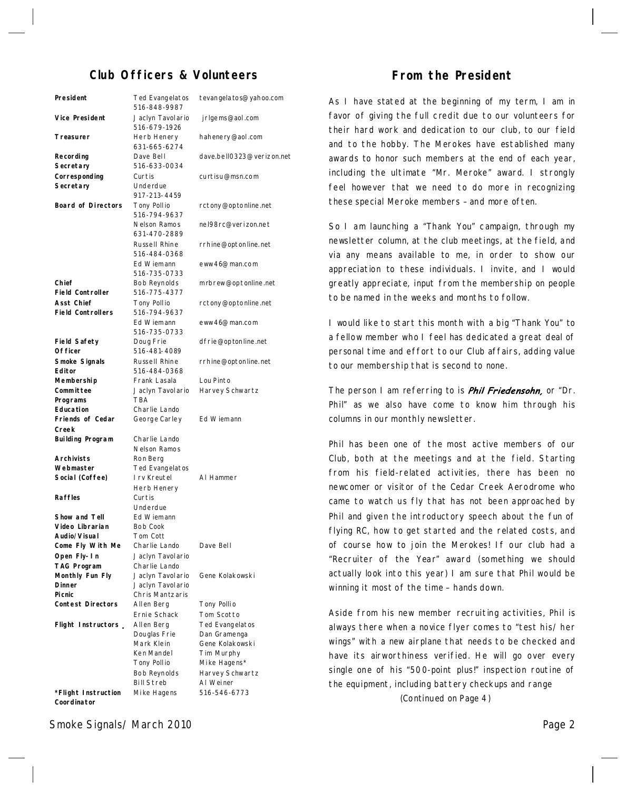# **Club Officers & Volunteers**

| President                                     | Ted Evangelatos<br>516-848-9987     | tevangela to s@yahoo.com |
|-----------------------------------------------|-------------------------------------|--------------------------|
| Vice President                                | Jaclyn Tavolario<br>516-679-1926    | jrlgems@aol.com          |
| Treasurer                                     | Herb Henery<br>631-665-6274         | hahenery@aol.com         |
| Recording                                     | Dave Bell                           | dave.bell0323@verizon.n  |
| Secretary                                     | 516-633-0034                        |                          |
| Corresponding                                 | Curtis                              | curtisu@msn.com          |
| Secretary                                     | Underdue<br>917-213-4459            |                          |
| <b>Board of Directors</b>                     | Tony Pollio<br>516-794-9637         | rctony@optonline.net     |
|                                               | Nelson Ramos<br>631-470-2889        | nel98rc@verizon.net      |
|                                               | Russell Rhine<br>516-484-0368       | rrhine@optonline.net     |
|                                               | Ed Wiemann<br>516-735-0733          | eww46@man.com            |
| Chief<br><b>Field Controller</b>              | <b>Bob Reynolds</b><br>516-775-4377 | m rbrew@optonline.net    |
| <b>Asst Chief</b><br><b>Field Controllers</b> | Tony Pollio<br>516-794-9637         | rctony@optonline.net     |
|                                               | Ed Wiemann<br>516-735-0733          | eww46@man.com            |
| <b>Field Safety</b><br>Of ficer               | Doug Frie<br>516-481-4089           | dfrie@optonline.net      |
| Smoke Signals<br>Editor                       | Russell Rhine<br>516-484-0368       | rrhine@optonline.net     |
| Membership                                    | Frank Lasala                        | Lou Pinto                |
| Committee                                     | Jaclyn Tavolario                    | Harvey Schwartz          |
| Programs                                      | <b>TBA</b>                          |                          |
| Education                                     | Charlie Lando                       |                          |
| Friends of Cedar                              | George Carley                       | Ed Wiemann               |
| Creek                                         |                                     |                          |
| <b>Building Program</b>                       | Charlie Lando                       |                          |
|                                               | Nelson Ramos                        |                          |
| <b>Archivists</b>                             | Ron Berg                            |                          |
| Webmaster                                     | Ted Evangelatos                     |                          |
| Social (Coffee)                               | I rv Kreutel                        | AI Hammer                |
|                                               | Herb Henery                         |                          |
| <b>Raffles</b>                                | Curtis                              |                          |
|                                               | Underdue                            |                          |
| Show and Tell                                 | Ed Wiemann                          |                          |
| Video Librarian                               | Bob Cook                            |                          |
| Audio/Visual                                  | Tom Cott                            |                          |
| Come Fly With Me                              | Charlie Lando                       | Dave Bell                |
| Open Fly-In                                   | Jaclyn Tavolario                    |                          |
| <b>TAG Program</b>                            | Charlie Lando                       |                          |
| Monthly Fun Fly                               | Jaclyn Tavolario                    | Gene Kolakowski          |
| <b>Dinner</b>                                 | Jaclyn Tavolario                    |                          |
| <b>Picnic</b>                                 | Chris Mantzaris                     |                          |
| <b>Contest Directors</b>                      | Allen Berg                          | Tony Pollio              |
|                                               | Ernie Schack                        | Tom Scotto               |
| Flight Instructors                            | Allen Berg                          | Ted Evangelatos          |
|                                               | Douglas Frie                        | Dan Gramenga             |
|                                               | Mark Klein                          | Gene Kolakowski          |
|                                               | Ken Mandel                          | Tim Murphy               |
|                                               | Tony Pollio                         | Mike Hagens*             |
|                                               | <b>Bob Reynolds</b>                 | Harvey Schwartz          |
|                                               | <b>Bill Streb</b>                   | AI Weiner                |
| *Flight Instruction                           | Mike Hagens                         | 516-546-6773             |
| Coordinator                                   |                                     |                          |

jrlgems@aol.com y@aol.com ll0323@verizon.net curtisu@msn.com op to nline.net @verizon.net optonline.net man.com  $@$ optonline.net op to nline.net man.com op ton line.net optonline.net Lou Pinto Schwartz ner menga lak owski phy  $n$ ens $*$ Schwartz

## **From the President**

As I have stated at the beginning of my term, I am in favor of giving the full credit due to our volunteers for their hard work and dedication to our club, to our field and to the hobby. The Merokes have established many awards to honor such members at the end of each year, including the ultimate "Mr. Meroke" award. I strongly feel however that we need to do more in recognizing these special Meroke members–and more often.

So I am launching a "Thank You" campaign, through my newsletter column, at the club meetings, at the field, and via any means available to me, in order to show our appreciation to these individuals. I invite, and I would greatly appreciate, input from the membership on people to be named in the weeks and months to follow.

I would like to start this month with a big "Thank You" to a fellow member who I feel has dedicated a great deal of personal time and effort to our Club affairs, adding value to our membership that is second to none.

The person I am referring to is *Phil Friedensohn*, or "Dr. Phil" as we also have come to know him through his columns in our monthly newsletter.

Phil has been one of the most active members of our Club, both at the meetings and at the field. Starting from his field-related activities, there has been no newcomer or visitor of the Cedar Creek Aerodrome who came to watch us fly that has not been approached by Phil and given the introductory speech about the fun of flying RC, how to get started and the related costs, and of course how to join the Merokes! If our club had a "Recruiter of the Year" award (something we should actually look into this year) I am sure that Phil would be winning it most of the time - hands down.

Aside from his new member recruiting activities, Phil is always there when a novice flyer comes to "test his/ her wings" with a new airplane that needs to be checked and have its airworthiness verified. He will go over every single one of his "500-point plus!" inspection routine of the equipment, including battery checkups and range

(Continued on Page 4)

## Smoke Signals/ March 2010 **Page 2**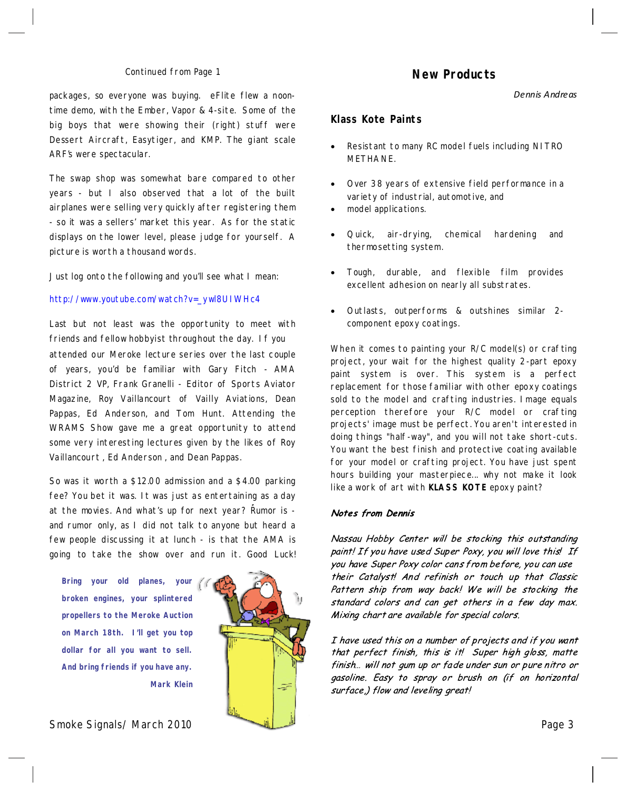#### Continued from Page 1

packages, so everyone was buying. eFlite flew a noon time demo, with the Ember, Vapor & 4-site. Some of the big boys that were showing their (right) stuff were Dessert Aircraft, Easytiger, and KMP. The giant scale ARF's were spectacular.

The swap shop was somewhat bare compared to other years - but I also observed that a lot of the built airplanes were selling very quickly after registering them - so it was a sellers' market this year. As for the static displays on the lower level, please judge for yourself. A picture is worth a thousand words.

Just log onto the following and you'll see what I mean:

#### http://www.youtube.com/watch?v=\_ywl8UIWHc4

attended our Meroke lecture series over the last couple of years, you'd be familiar with Gary Fitch - AMA District 2 VP, Frank Granelli - Editor of Sports Aviator Magazine, Roy Vaillancourt of Vailly Aviations, Dean Pappas, Ed Anderson, and Tom Hunt. Attending the WRAMS Show gave me a great opportunity to attend some very interesting lectures given by the likes of Roy Vaillancourt , Ed Anderson , and Dean Pappas. Last but not least was the opportunity to meet with friends and fellow hobbyist throughout the day. If you

So was it worth a \$12.00 admission and a \$4.00 parking fee? You bet it was. It was just as entertaining as a day at the movies. And what's up for next year? Rumor is and rumor only, as I did not talk to anyone but heard a few people discussing it at lunch-is that the AMA is going to take the show over and run it. Good Luck!

**Bring your old planes, your broken engines, your splintered propellers to the Meroke Auction on March 18th. I'll get you top dollar for all you want to sell. And bring friends if you have any. Mark Klein**



Smoke Signals/ March 2010 Page 3

## **New Products**

*Dennis Andreas*

## **Klass Kote Paints**

- Resistant to many RC model fuels including NITRO METHANE.
- Over 38 years of extensive field performance in a variety of industrial, automotive, and
- model applications.
- Quick, air-drying, chemical hardening and thermosetting system.
- · Tough, durable, and flexible film provides excellent adhesion on nearly all substrates.
- · Outlasts, outperforms & outshines similar 2 component epoxy coatings.

When it comes to painting your R/C model(s) or crafting project, your wait for the highest quality 2-part epoxy paint system is over. This system is a perfect replacement for those familiar with other epoxy coatings sold to the model and crafting industries. Image equals perception therefore your R/C model or crafting projects'image must be perfect. You aren't interested in doing things "half-way", and you will not take short-cuts. You want the best finish and protective coating available for your model or crafting project. You have just spent hours building your masterpiece... why not make it look like a work of art with **KLASS KOTE** epoxy paint?

#### **Notes from Dennis**

Nassau Hobby Center will be stocking this outstanding paint! If you have used Super Poxy, you will love this! If you have Super Poxy color cans from before, you can use their Catalyst! And refinish or touch up that Classic Pattern ship from way back! We will be stocking the standard colors and can get others in a few day max. Mixing chart are available for special colors.

I have used this on a number of projects and if you want that perfect finish, this is it! Super high gloss, matte finish... will not gum up or fade under sun or pure nitro or gasoline. Easy to spray or brush on (if on horizontal surface) flow and leveling great!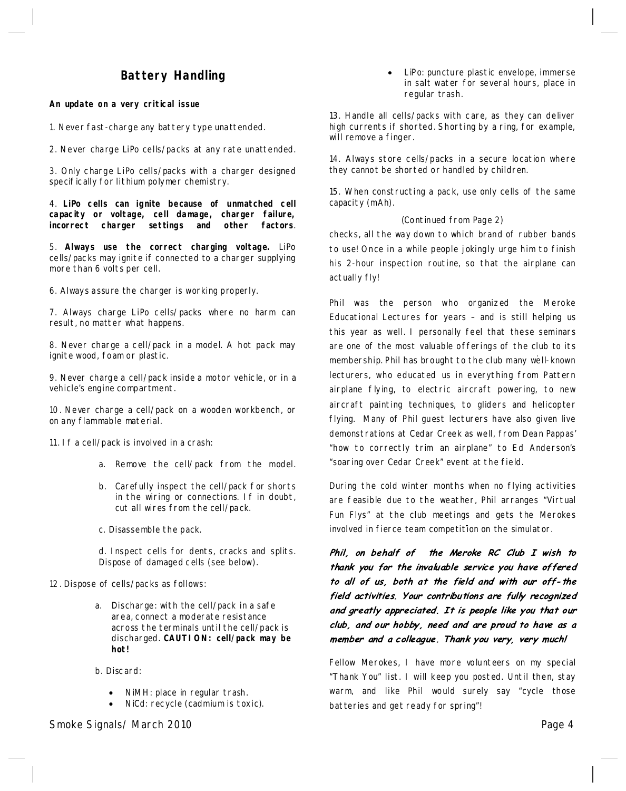# **Battery Handling**

#### **An update on a very critical issue**

1. Never fast-charge any battery type unattended.

2. Never charge LiPo cells/packs at any rate unattended.

3. Only charge LiPo cells/packs with a charger designed specifically for lithium polymer chemistry.

4.**LiPo cells can ignite because of unmatched cell capacity or voltage, cell damage, charger failure, incorrect charger settings and other factors**.

5. **Always use the correct charging voltage.** LiPo cells/packs may ignite if connected to a charger supplying more than 6 volts per cell.

6. Always assure the charger is working properly.

7. Always charge LiPo cells/packs where no harm can result, no matter what happens.

8. Never charge a cell/pack in a model. A hot pack may ignite wood, foam or plastic.

9. Never charge a cell/pack inside a motor vehicle, or in a vehicle's engine compartment.

10. Never charge a cell/pack on a wooden workbench, or on any flammable material.

11. If a cell/pack is involved in a crash:

- a. Remove the cell/pack from the model.
- b. Carefully inspect the cell/pack for shorts in the wiring or connections. If in doubt, cut all wires from the cell/pack.
- c. Disassemble the pack.

d. Inspect cells for dents, cracks and splits. Dispose of damaged cells (see below).

- 12. Dispose of cells/packs as follows:
	- a. Discharge: with the cell/pack in a safe area, connect a moderate resistance across the terminals until the cell/pack is discharged.**CAUTION: cell/packmay be hot!**
	- b. Discard:
		- · NiMH: place in regular trash.
		- NiCd: recycle (cadmium is toxic).

LiPo: puncture plastic envelope, immerse in salt water for several hours, place in regular trash.

13. Handle all cells/packs with care, as they can deliver high currents if shorted. Shorting by a ring, for example, will remove a finger.

14. Always store cells/packs in a secure location where they cannot be shorted or handled by children.

15. When constructing a pack, use only cells of the same capacity (mAh).

#### (Continued from Page 2)

checks, all the way down to which brand of rubber bands to use! Once in a while people jokingly urge him to finish his 2-hour inspection routine, so that the airplane can actually fly!

Phil was the person who organized the Meroke Educational Lectures for years–and is still helping us this year as well. I personally feel that these seminars are one of the most valuable offerings of the club to its membership. Phil has brought to the club many well-known lecturers, who educated us in everything from Pattern airplane flying, to electric aircraft powering, to new aircraft painting techniques, to gliders and helicopter flying. Many of Phil guest lecturers have also given live demonstrations at Cedar Creek as well, from Dean Pappas' "how to correctly trim an airplane" to Ed Anderson's "soaring over Cedar Creek" event at the field.

During the cold winter months when no flying activities are feasible due to the weather, Phil arranges "Virtual Fun Flys" at the club meetings and gets the Merokes involved in fierce team competition on the simulator.

Phil, on behalf of the Meroke RC Club I wish to thank you for the invaluable service you have offered to all of us, both at the field and with our off-the field activities. Your contributions are fully recognized and greatly appreciated. It is people like you that our club, and our hobby, need and are proud to have as a member and a colleague. Thank you very, very much!

Fellow Merokes, I have more volunteers on my special "Thank You" list. I will keep you posted. Until then, stay warm, and like Phil would surely say "cycle those batteries and get ready for spring"!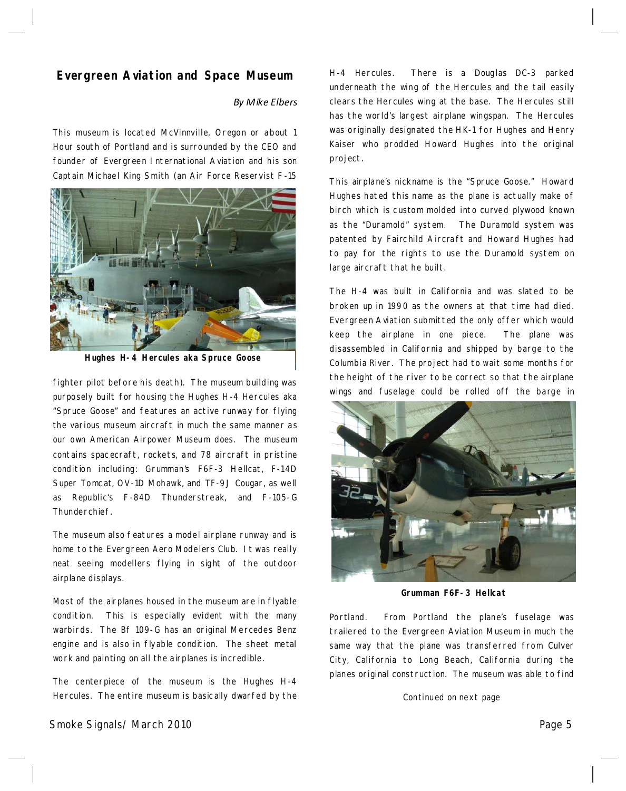## **Evergreen Aviation and Space Museum**

## *By Mike Elbers*

This museum is located McVinnville, Oregon or about 1 Hour south of Portland and is surrounded by the CEO and founder of Evergreen International Aviation and his son Captain Michael King Smith (an Air Force Reservist F-15



**Hughes H-4 Hercules akaSpruce Goose**

fighter pilot before his death). The museum building was purposely built for housing the Hughes H-4 Hercules aka "Spruce Goose" and features an active runway for flying the various museum aircraft in much the same manner as our own American Airpower Museum does. The museum contains spacecraft, rockets, and 78 aircraft in pristine condition including: Grumman's F6F-3 Hellcat, F-14D Super Tomcat, OV-1D Mohawk, and TF-9J Cougar, as well as Republic's F-84D Thunderstreak, and F-105-G Thunderchief.

The museum also features a model airplane runway and is home to the Evergreen Aero Modelers Club. It was really neat seeing modellers flying in sight of the outdoor airplane displays.

Most of the airplanes housed in the museum are in flyable condition. This is especially evident with the many warbirds. The Bf 109-G has an original Mercedes Benz engine and is also in flyable condition. The sheet metal work and painting on all the airplanes is incredible.

The centerpiece of the museum is the Hughes H-4 Hercules. The entire museum is basically dwarfed by the H-4 Hercules. There is a Douglas DC-3 parked underneath the wing of the Hercules and the tail easily clears the Hercules wing at the base. The Hercules still has the world's largest airplane wingspan. The Hercules was originally designated the HK-1 for Hughes and Henry Kaiser who prodded Howard Hughes into the original project.

This airplane's nickname is the "Spruce Goose." Howard Hughes hated this name as the plane is actually make of birch which is custom molded into curved plywood known as the "Duramold" system. The Duramold system was patented by Fairchild Aircraft and Howard Hughes had to pay for the rights to use the Duramold system on large aircraft that he built.

The H-4 was built in California and was slated to be broken up in 1990 as the owners at that time had died. Evergreen Aviation submitted the only offer which would keep the airplane in one piece. The plane was disassembled in California and shipped by barge to the Columbia River. The project had to wait some months for the height of the river to be correct so that the airplane wings and fuselage could be rolled off the barge in



**Grumman F6F-3Hellcat**

Portland. From Portland the plane's fuselage was trailered to the Evergreen Aviation Museum in much the same way that the plane was transferred from Culver City, California to Long Beach, California during the planes original construction. The museum was able to find

Continued on next page

Smoke Signals/ March 2010 Page 5